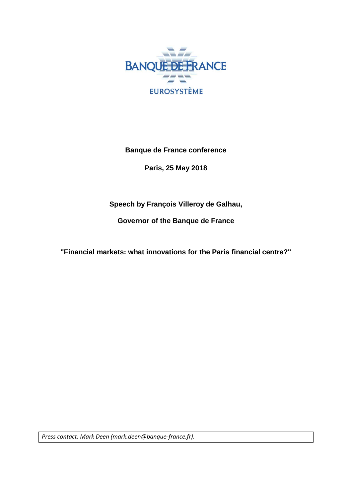

**Banque de France conference** 

**Paris, 25 May 2018**

**Speech by François Villeroy de Galhau,**

**Governor of the Banque de France**

**"Financial markets: what innovations for the Paris financial centre?"**

*Press contact: Mark Deen (mark.deen@banque-france.fr).*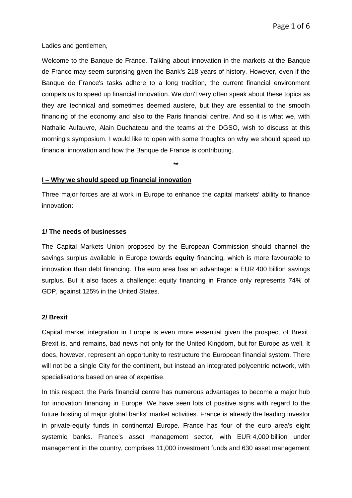Ladies and gentlemen,

Welcome to the Banque de France. Talking about innovation in the markets at the Banque de France may seem surprising given the Bank's 218 years of history. However, even if the Banque de France's tasks adhere to a long tradition, the current financial environment compels us to speed up financial innovation. We don't very often speak about these topics as they are technical and sometimes deemed austere, but they are essential to the smooth financing of the economy and also to the Paris financial centre. And so it is what we, with Nathalie Aufauvre, Alain Duchateau and the teams at the DGSO, wish to discuss at this morning's symposium. I would like to open with some thoughts on why we should speed up financial innovation and how the Banque de France is contributing.

\*\*

#### **I – Why we should speed up financial innovation**

Three major forces are at work in Europe to enhance the capital markets' ability to finance innovation:

#### **1/ The needs of businesses**

The Capital Markets Union proposed by the European Commission should channel the savings surplus available in Europe towards **equity** financing, which is more favourable to innovation than debt financing. The euro area has an advantage: a EUR 400 billion savings surplus. But it also faces a challenge: equity financing in France only represents 74% of GDP, against 125% in the United States.

### **2/ Brexit**

Capital market integration in Europe is even more essential given the prospect of Brexit. Brexit is, and remains, bad news not only for the United Kingdom, but for Europe as well. It does, however, represent an opportunity to restructure the European financial system. There will not be a single City for the continent, but instead an integrated polycentric network, with specialisations based on area of expertise.

In this respect, the Paris financial centre has numerous advantages to become a major hub for innovation financing in Europe. We have seen lots of positive signs with regard to the future hosting of major global banks' market activities. France is already the leading investor in private-equity funds in continental Europe. France has four of the euro area's eight systemic banks. France's asset management sector, with EUR 4,000 billion under management in the country, comprises 11,000 investment funds and 630 asset management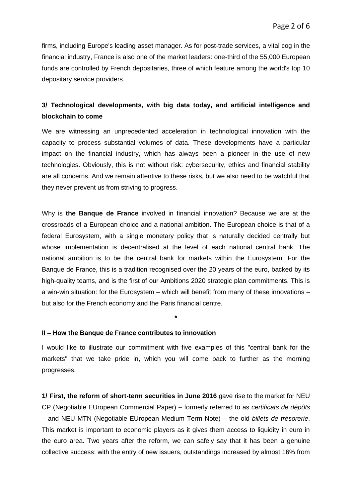firms, including Europe's leading asset manager. As for post-trade services, a vital cog in the financial industry, France is also one of the market leaders: one-third of the 55,000 European funds are controlled by French depositaries, three of which feature among the world's top 10 depositary service providers.

# **3/ Technological developments, with big data today, and artificial intelligence and blockchain to come**

We are witnessing an unprecedented acceleration in technological innovation with the capacity to process substantial volumes of data. These developments have a particular impact on the financial industry, which has always been a pioneer in the use of new technologies. Obviously, this is not without risk: cybersecurity, ethics and financial stability are all concerns. And we remain attentive to these risks, but we also need to be watchful that they never prevent us from striving to progress.

Why is **the Banque de France** involved in financial innovation? Because we are at the crossroads of a European choice and a national ambition. The European choice is that of a federal Eurosystem, with a single monetary policy that is naturally decided centrally but whose implementation is decentralised at the level of each national central bank. The national ambition is to be the central bank for markets within the Eurosystem. For the Banque de France, this is a tradition recognised over the 20 years of the euro, backed by its high-quality teams, and is the first of our Ambitions 2020 strategic plan commitments. This is a win-win situation: for the Eurosystem – which will benefit from many of these innovations – but also for the French economy and the Paris financial centre.

#### **II – How the Banque de France contributes to innovation**

I would like to illustrate our commitment with five examples of this "central bank for the markets" that we take pride in, which you will come back to further as the morning progresses.

**\***

**1/ First, the reform of short-term securities in June 2016** gave rise to the market for NEU CP (Negotiable EUropean Commercial Paper) – formerly referred to as *certificats de dépôts* – and NEU MTN (Negotiable EUropean Medium Term Note) – the old *billets de trésorerie*. This market is important to economic players as it gives them access to liquidity in euro in the euro area. Two years after the reform, we can safely say that it has been a genuine collective success: with the entry of new issuers, outstandings increased by almost 16% from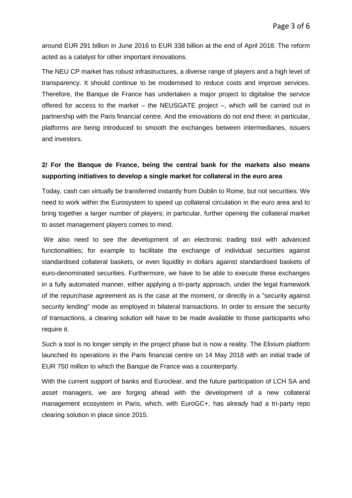around EUR 291 billion in June 2016 to EUR 338 billion at the end of April 2018. The reform acted as a catalyst for other important innovations.

The NEU CP market has robust infrastructures, a diverse range of players and a high level of transparency. It should continue to be modernised to reduce costs and improve services. Therefore, the Banque de France has undertaken a major project to digitalise the service offered for access to the market – the NEUSGATE project –, which will be carried out in partnership with the Paris financial centre. And the innovations do not end there: in particular, platforms are being introduced to smooth the exchanges between intermediaries, issuers and investors.

# **2/ For the Banque de France, being the central bank for the markets also means supporting initiatives to develop a single market for collateral in the euro area**

Today, cash can virtually be transferred instantly from Dublin to Rome, but not securities. We need to work within the Eurosystem to speed up collateral circulation in the euro area and to bring together a larger number of players; in particular, further opening the collateral market to asset management players comes to mind.

We also need to see the development of an electronic trading tool with advanced functionalities; for example to facilitate the exchange of individual securities against standardised collateral baskets, or even liquidity in dollars against standardised baskets of euro-denominated securities. Furthermore, we have to be able to execute these exchanges in a fully automated manner, either applying a tri-party approach, under the legal framework of the repurchase agreement as is the case at the moment, or directly in a "security against security lending" mode as employed in bilateral transactions. In order to ensure the security of transactions, a clearing solution will have to be made available to those participants who require it.

Such a tool is no longer simply in the project phase but is now a reality. The Elixium platform launched its operations in the Paris financial centre on 14 May 2018 with an initial trade of EUR 750 million to which the Banque de France was a counterparty.

With the current support of banks and Euroclear, and the future participation of LCH SA and asset managers, we are forging ahead with the development of a new collateral management ecosystem in Paris, which, with EuroGC+, has already had a tri-party repo clearing solution in place since 2015.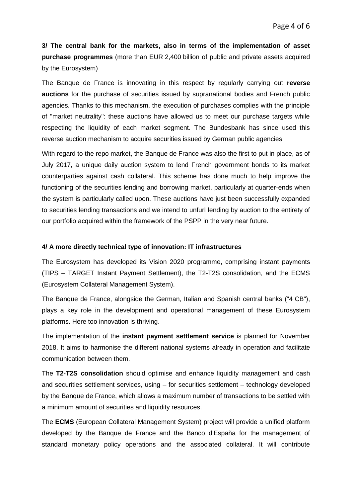**3/ The central bank for the markets, also in terms of the implementation of asset purchase programmes** (more than EUR 2,400 billion of public and private assets acquired by the Eurosystem)

The Banque de France is innovating in this respect by regularly carrying out **reverse auctions** for the purchase of securities issued by supranational bodies and French public agencies. Thanks to this mechanism, the execution of purchases complies with the principle of "market neutrality": these auctions have allowed us to meet our purchase targets while respecting the liquidity of each market segment. The Bundesbank has since used this reverse auction mechanism to acquire securities issued by German public agencies.

With regard to the repo market, the Banque de France was also the first to put in place, as of July 2017, a unique daily auction system to lend French government bonds to its market counterparties against cash collateral. This scheme has done much to help improve the functioning of the securities lending and borrowing market, particularly at quarter-ends when the system is particularly called upon. These auctions have just been successfully expanded to securities lending transactions and we intend to unfurl lending by auction to the entirety of our portfolio acquired within the framework of the PSPP in the very near future.

## **4/ A more directly technical type of innovation: IT infrastructures**

The Eurosystem has developed its Vision 2020 programme, comprising instant payments (TIPS – TARGET Instant Payment Settlement), the T2-T2S consolidation, and the ECMS (Eurosystem Collateral Management System).

The Banque de France, alongside the German, Italian and Spanish central banks ("4 CB"), plays a key role in the development and operational management of these Eurosystem platforms. Here too innovation is thriving.

The implementation of the **instant payment settlement service** is planned for November 2018. It aims to harmonise the different national systems already in operation and facilitate communication between them.

The **T2-T2S consolidation** should optimise and enhance liquidity management and cash and securities settlement services, using – for securities settlement – technology developed by the Banque de France, which allows a maximum number of transactions to be settled with a minimum amount of securities and liquidity resources.

The **ECMS** (European Collateral Management System) project will provide a unified platform developed by the Banque de France and the Banco d'España for the management of standard monetary policy operations and the associated collateral. It will contribute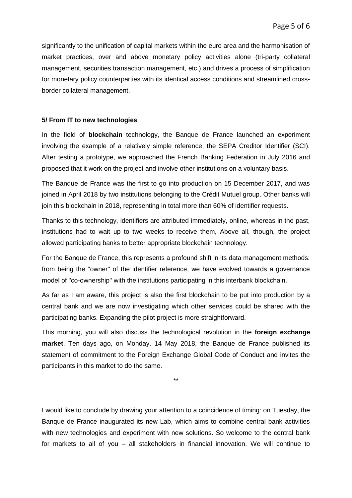significantly to the unification of capital markets within the euro area and the harmonisation of market practices, over and above monetary policy activities alone (tri-party collateral management, securities transaction management, etc.) and drives a process of simplification for monetary policy counterparties with its identical access conditions and streamlined crossborder collateral management.

### **5/ From IT to new technologies**

In the field of **blockchain** technology, the Banque de France launched an experiment involving the example of a relatively simple reference, the SEPA Creditor Identifier (SCI). After testing a prototype, we approached the French Banking Federation in July 2016 and proposed that it work on the project and involve other institutions on a voluntary basis.

The Banque de France was the first to go into production on 15 December 2017, and was joined in April 2018 by two institutions belonging to the Crédit Mutuel group. Other banks will join this blockchain in 2018, representing in total more than 60% of identifier requests.

Thanks to this technology, identifiers are attributed immediately, online, whereas in the past, institutions had to wait up to two weeks to receive them, Above all, though, the project allowed participating banks to better appropriate blockchain technology.

For the Banque de France, this represents a profound shift in its data management methods: from being the "owner" of the identifier reference, we have evolved towards a governance model of "co-ownership" with the institutions participating in this interbank blockchain.

As far as I am aware, this project is also the first blockchain to be put into production by a central bank and we are now investigating which other services could be shared with the participating banks. Expanding the pilot project is more straightforward.

This morning, you will also discuss the technological revolution in the **foreign exchange market**. Ten days ago, on Monday, 14 May 2018, the Banque de France published its statement of commitment to the Foreign Exchange Global Code of Conduct and invites the participants in this market to do the same.

\*\*

I would like to conclude by drawing your attention to a coincidence of timing: on Tuesday, the Banque de France inaugurated its new Lab, which aims to combine central bank activities with new technologies and experiment with new solutions. So welcome to the central bank for markets to all of you – all stakeholders in financial innovation. We will continue to